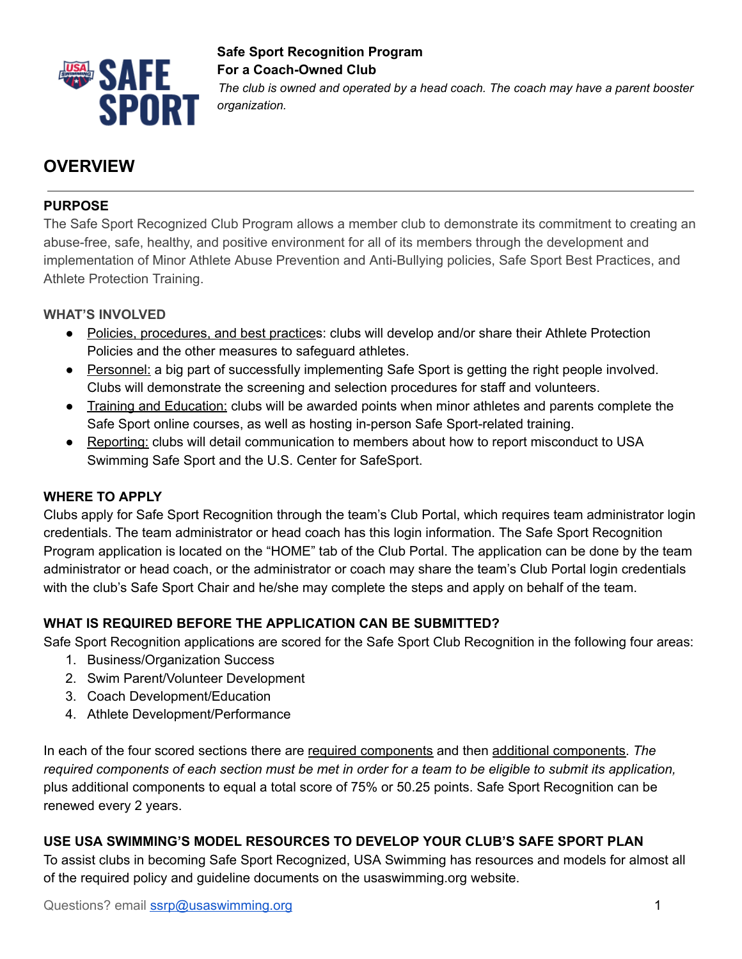

# **Safe Sport Recognition Program For a Coach-Owned Club**

*The club is owned and operated by a head coach. The coach may have a parent booster organization.*

## **OVERVIEW**

## **PURPOSE**

The Safe Sport Recognized Club Program allows a member club to demonstrate its commitment to creating an abuse-free, safe, healthy, and positive environment for all of its members through the development and implementation of Minor Athlete Abuse Prevention and Anti-Bullying policies, Safe Sport Best Practices, and Athlete Protection Training.

## **WHAT'S INVOLVED**

- Policies, procedures, and best practices: clubs will develop and/or share their Athlete Protection Policies and the other measures to safeguard athletes.
- Personnel: a big part of successfully implementing Safe Sport is getting the right people involved. Clubs will demonstrate the screening and selection procedures for staff and volunteers.
- Training and Education: clubs will be awarded points when minor athletes and parents complete the Safe Sport online courses, as well as hosting in-person Safe Sport-related training.
- Reporting: clubs will detail communication to members about how to report misconduct to USA Swimming Safe Sport and the U.S. Center for SafeSport.

## **WHERE TO APPLY**

Clubs apply for Safe Sport Recognition through the team's Club Portal, which requires team administrator login credentials. The team administrator or head coach has this login information. The Safe Sport Recognition Program application is located on the "HOME" tab of the Club Portal. The application can be done by the team administrator or head coach, or the administrator or coach may share the team's Club Portal login credentials with the club's Safe Sport Chair and he/she may complete the steps and apply on behalf of the team.

## **WHAT IS REQUIRED BEFORE THE APPLICATION CAN BE SUBMITTED?**

Safe Sport Recognition applications are scored for the Safe Sport Club Recognition in the following four areas:

- 1. Business/Organization Success
- 2. Swim Parent/Volunteer Development
- 3. Coach Development/Education
- 4. Athlete Development/Performance

In each of the four scored sections there are required components and then additional components. *The* required components of each section must be met in order for a team to be eligible to submit its application, plus additional components to equal a total score of 75% or 50.25 points. Safe Sport Recognition can be renewed every 2 years.

## **USE USA SWIMMING'S MODEL RESOURCES TO DEVELOP YOUR CLUB'S SAFE SPORT PLAN**

To assist clubs in becoming Safe Sport Recognized, USA Swimming has resources and models for almost all of the required policy and guideline documents on the usaswimming.org website.

Questions? email [ssrp@usaswimming.org](mailto:ssrp@usaswimming.org) 1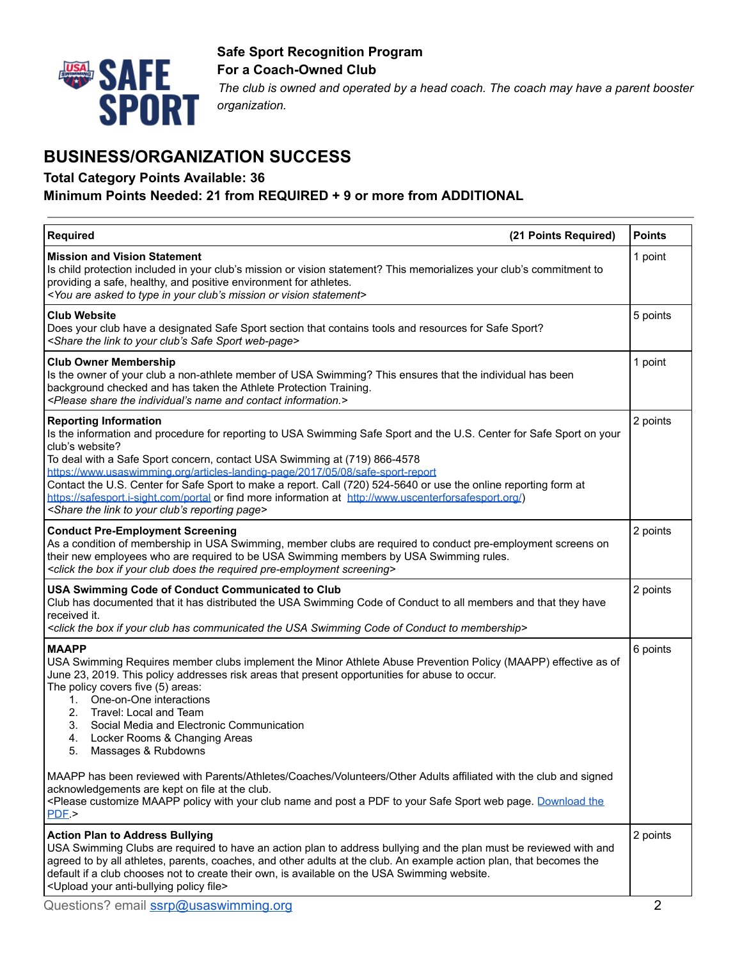

#### **Safe Sport Recognition Program For a Coach-Owned Club**

*The club is owned and operated by a head coach. The coach may have a parent booster organization.*

## **BUSINESS/ORGANIZATION SUCCESS**

#### **Total Category Points Available: 36**

#### **Minimum Points Needed: 21 from REQUIRED + 9 or more from ADDITIONAL**

| (21 Points Required)<br><b>Required</b>                                                                                                                                                                                                                                                                                                                                                                                                                                                                                                                                                                                                             | <b>Points</b> |
|-----------------------------------------------------------------------------------------------------------------------------------------------------------------------------------------------------------------------------------------------------------------------------------------------------------------------------------------------------------------------------------------------------------------------------------------------------------------------------------------------------------------------------------------------------------------------------------------------------------------------------------------------------|---------------|
| <b>Mission and Vision Statement</b><br>Is child protection included in your club's mission or vision statement? This memorializes your club's commitment to<br>providing a safe, healthy, and positive environment for athletes.<br><you are="" asked="" club's="" in="" mission="" or="" statement="" to="" type="" vision="" your=""></you>                                                                                                                                                                                                                                                                                                       | 1 point       |
| <b>Club Website</b><br>Does your club have a designated Safe Sport section that contains tools and resources for Safe Sport?<br><share club's="" link="" safe="" sport="" the="" to="" web-page="" your=""></share>                                                                                                                                                                                                                                                                                                                                                                                                                                 | 5 points      |
| <b>Club Owner Membership</b><br>Is the owner of your club a non-athlete member of USA Swimming? This ensures that the individual has been<br>background checked and has taken the Athlete Protection Training.<br><please and="" contact="" individual's="" information.="" name="" share="" the=""></please>                                                                                                                                                                                                                                                                                                                                       | 1 point       |
| <b>Reporting Information</b><br>Is the information and procedure for reporting to USA Swimming Safe Sport and the U.S. Center for Safe Sport on your<br>club's website?<br>To deal with a Safe Sport concern, contact USA Swimming at (719) 866-4578<br>https://www.usaswimming.org/articles-landing-page/2017/05/08/safe-sport-report<br>Contact the U.S. Center for Safe Sport to make a report. Call (720) 524-5640 or use the online reporting form at<br>https://safesport.i-sight.com/portal or find more information at http://www.uscenterforsafesport.org/)<br><share club's="" link="" page="" reporting="" the="" to="" your=""></share> | 2 points      |
| <b>Conduct Pre-Employment Screening</b><br>As a condition of membership in USA Swimming, member clubs are required to conduct pre-employment screens on<br>their new employees who are required to be USA Swimming members by USA Swimming rules.<br><click box="" club="" does="" if="" pre-employment="" required="" screening="" the="" your=""></click>                                                                                                                                                                                                                                                                                         | 2 points      |
| USA Swimming Code of Conduct Communicated to Club<br>Club has documented that it has distributed the USA Swimming Code of Conduct to all members and that they have<br>received it.<br><click box="" club="" code="" communicated="" conduct="" has="" if="" membership="" of="" swimming="" the="" to="" usa="" your=""></click>                                                                                                                                                                                                                                                                                                                   | 2 points      |
| <b>MAAPP</b><br>USA Swimming Requires member clubs implement the Minor Athlete Abuse Prevention Policy (MAAPP) effective as of<br>June 23, 2019. This policy addresses risk areas that present opportunities for abuse to occur.<br>The policy covers five (5) areas:<br>One-on-One interactions<br>$1_{\cdot}$<br>2. Travel: Local and Team<br>3.<br>Social Media and Electronic Communication<br>Locker Rooms & Changing Areas<br>4.<br>5.<br>Massages & Rubdowns                                                                                                                                                                                 | 6 points      |
| MAAPP has been reviewed with Parents/Athletes/Coaches/Volunteers/Other Adults affiliated with the club and signed<br>acknowledgements are kept on file at the club.<br><please a="" and="" club="" customize="" download="" maapp="" name="" page.="" pdf="" policy="" post="" safe="" sport="" the<br="" to="" web="" with="" your="">PDE</please>                                                                                                                                                                                                                                                                                                 |               |
| <b>Action Plan to Address Bullying</b><br>USA Swimming Clubs are required to have an action plan to address bullying and the plan must be reviewed with and<br>agreed to by all athletes, parents, coaches, and other adults at the club. An example action plan, that becomes the<br>default if a club chooses not to create their own, is available on the USA Swimming website.<br><upload anti-bullying="" file="" policy="" your=""></upload>                                                                                                                                                                                                  | 2 points      |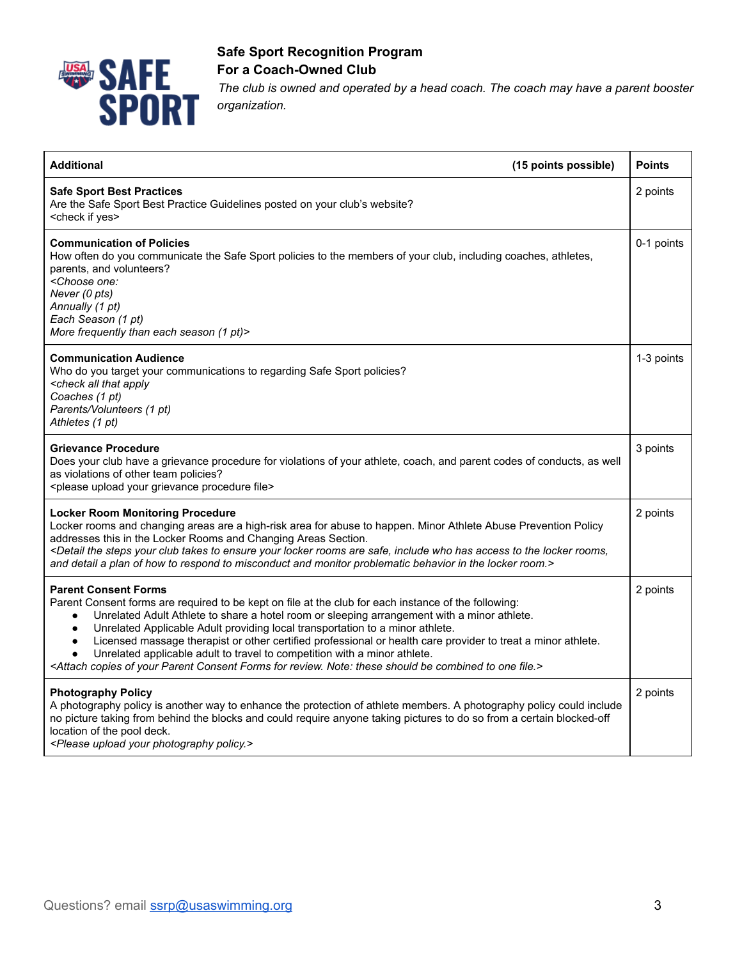

## **Safe Sport Recognition Program For a Coach-Owned Club**

*The club is owned and operated by a head coach. The coach may have a parent booster organization.*

| <b>Additional</b>                                                                                                                                                                                                                                                                                                                                                                                                                                                                                                                                                                                                                                                                                                        | (15 points possible) | <b>Points</b> |
|--------------------------------------------------------------------------------------------------------------------------------------------------------------------------------------------------------------------------------------------------------------------------------------------------------------------------------------------------------------------------------------------------------------------------------------------------------------------------------------------------------------------------------------------------------------------------------------------------------------------------------------------------------------------------------------------------------------------------|----------------------|---------------|
| <b>Safe Sport Best Practices</b><br>Are the Safe Sport Best Practice Guidelines posted on your club's website?<br><check if="" yes=""></check>                                                                                                                                                                                                                                                                                                                                                                                                                                                                                                                                                                           |                      | 2 points      |
| <b>Communication of Policies</b><br>How often do you communicate the Safe Sport policies to the members of your club, including coaches, athletes,<br>parents, and volunteers?<br><choose one:<br="">Never (0 pts)<br/>Annually (1 pt)<br/>Each Season (1 pt)<br/>More frequently than each season (1 pt)&gt;</choose>                                                                                                                                                                                                                                                                                                                                                                                                   |                      | 0-1 points    |
| <b>Communication Audience</b><br>Who do you target your communications to regarding Safe Sport policies?<br><check all="" apply<br="" that="">Coaches (1 pt)<br/>Parents/Volunteers (1 pt)<br/>Athletes (1 pt)</check>                                                                                                                                                                                                                                                                                                                                                                                                                                                                                                   |                      | 1-3 points    |
| <b>Grievance Procedure</b><br>Does your club have a grievance procedure for violations of your athlete, coach, and parent codes of conducts, as well<br>as violations of other team policies?<br><please file="" grievance="" procedure="" upload="" your=""></please>                                                                                                                                                                                                                                                                                                                                                                                                                                                   |                      | 3 points      |
| <b>Locker Room Monitoring Procedure</b><br>Locker rooms and changing areas are a high-risk area for abuse to happen. Minor Athlete Abuse Prevention Policy<br>addresses this in the Locker Rooms and Changing Areas Section.<br><detail access="" are="" club="" ensure="" has="" include="" locker="" rooms="" rooms,<br="" safe,="" steps="" takes="" the="" to="" who="" your="">and detail a plan of how to respond to misconduct and monitor problematic behavior in the locker room.&gt;</detail>                                                                                                                                                                                                                  |                      | 2 points      |
| <b>Parent Consent Forms</b><br>Parent Consent forms are required to be kept on file at the club for each instance of the following:<br>Unrelated Adult Athlete to share a hotel room or sleeping arrangement with a minor athlete.<br>$\bullet$<br>Unrelated Applicable Adult providing local transportation to a minor athlete.<br>$\bullet$<br>Licensed massage therapist or other certified professional or health care provider to treat a minor athlete.<br>$\bullet$<br>Unrelated applicable adult to travel to competition with a minor athlete.<br><attach be="" combined="" consent="" copies="" file.="" for="" forms="" note:="" of="" one="" parent="" review.="" should="" these="" to="" your=""></attach> |                      | 2 points      |
| <b>Photography Policy</b><br>A photography policy is another way to enhance the protection of athlete members. A photography policy could include<br>no picture taking from behind the blocks and could require anyone taking pictures to do so from a certain blocked-off<br>location of the pool deck.<br><please photography="" policy.="" upload="" your=""></please>                                                                                                                                                                                                                                                                                                                                                |                      | 2 points      |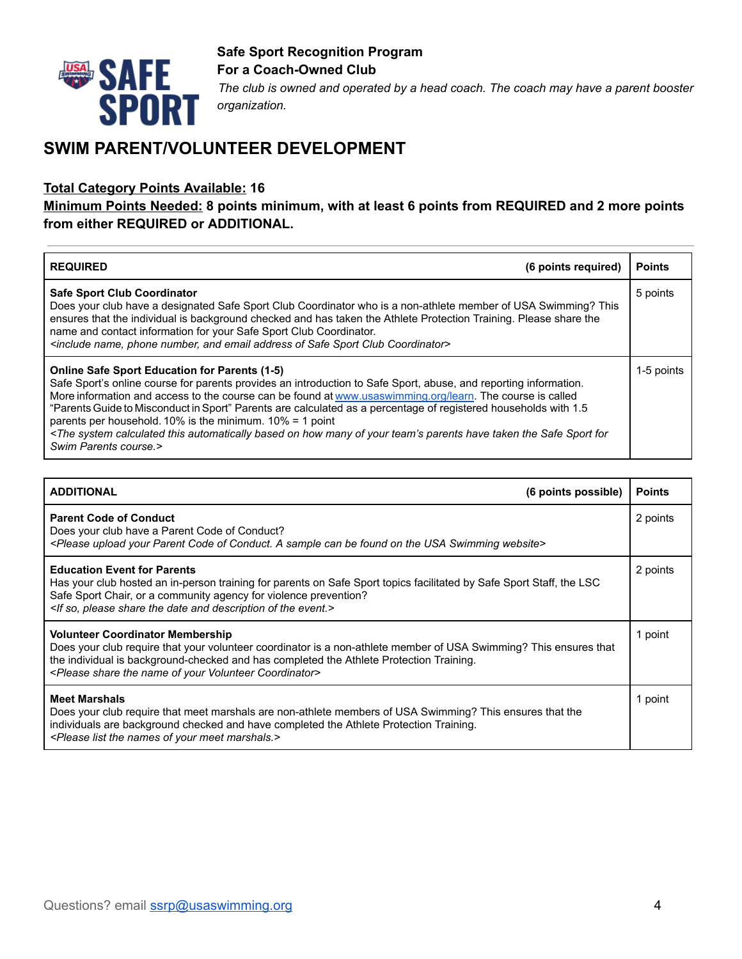

## **Safe Sport Recognition Program For a Coach-Owned Club**  *The club is owned and operated by a head coach. The coach may have a parent booster organization.*

## **SWIM PARENT/VOLUNTEER DEVELOPMENT**

#### **Total Category Points Available: 16**

### **Minimum Points Needed: 8 points minimum, with at least 6 points from REQUIRED and 2 more points from either REQUIRED or ADDITIONAL.**

| (6 points required)<br><b>REQUIRED</b>                                                                                                                                                                                                                                                                                                                                                                                                                                                                                                                                                                                                                                              | <b>Points</b> |
|-------------------------------------------------------------------------------------------------------------------------------------------------------------------------------------------------------------------------------------------------------------------------------------------------------------------------------------------------------------------------------------------------------------------------------------------------------------------------------------------------------------------------------------------------------------------------------------------------------------------------------------------------------------------------------------|---------------|
| <b>Safe Sport Club Coordinator</b><br>Does your club have a designated Safe Sport Club Coordinator who is a non-athlete member of USA Swimming? This<br>ensures that the individual is background checked and has taken the Athlete Protection Training. Please share the<br>name and contact information for your Safe Sport Club Coordinator.<br><include address="" and="" club="" coordinator="" email="" name,="" number,="" of="" phone="" safe="" sport=""></include>                                                                                                                                                                                                        | 5 points      |
| <b>Online Safe Sport Education for Parents (1-5)</b><br>Safe Sport's online course for parents provides an introduction to Safe Sport, abuse, and reporting information.<br>More information and access to the course can be found at www.usaswimming.org/learn. The course is called<br>"Parents Guide to Misconduct in Sport" Parents are calculated as a percentage of registered households with 1.5<br>parents per household. 10% is the minimum. $10\% = 1$ point<br><the automatically="" based="" calculated="" for<br="" have="" how="" many="" of="" on="" parents="" safe="" sport="" system="" taken="" team's="" the="" this="" your="">Swim Parents course.&gt;</the> | 1-5 points    |

| <b>ADDITIONAL</b>                                                                                                                                                                                                                                                                                                                              | (6 points possible) | <b>Points</b> |
|------------------------------------------------------------------------------------------------------------------------------------------------------------------------------------------------------------------------------------------------------------------------------------------------------------------------------------------------|---------------------|---------------|
| <b>Parent Code of Conduct</b><br>Does your club have a Parent Code of Conduct?<br><please a="" be="" can="" code="" conduct.="" found="" of="" on="" parent="" sample="" swimming="" the="" upload="" usa="" website="" your=""></please>                                                                                                      |                     | 2 points      |
| <b>Education Event for Parents</b><br>Has your club hosted an in-person training for parents on Safe Sport topics facilitated by Safe Sport Staff, the LSC<br>Safe Sport Chair, or a community agency for violence prevention?<br><if and="" date="" description="" event.="" of="" please="" share="" so,="" the=""></if>                     |                     | 2 points      |
| <b>Volunteer Coordinator Membership</b><br>Does your club require that your volunteer coordinator is a non-athlete member of USA Swimming? This ensures that<br>the individual is background-checked and has completed the Athlete Protection Training.<br><please coordinator="" name="" of="" share="" the="" volunteer="" your=""></please> |                     | 1 point       |
| <b>Meet Marshals</b><br>Does your club require that meet marshals are non-athlete members of USA Swimming? This ensures that the<br>individuals are background checked and have completed the Athlete Protection Training.<br><please list="" marshals.="" meet="" names="" of="" the="" your=""></please>                                     |                     | 1 point       |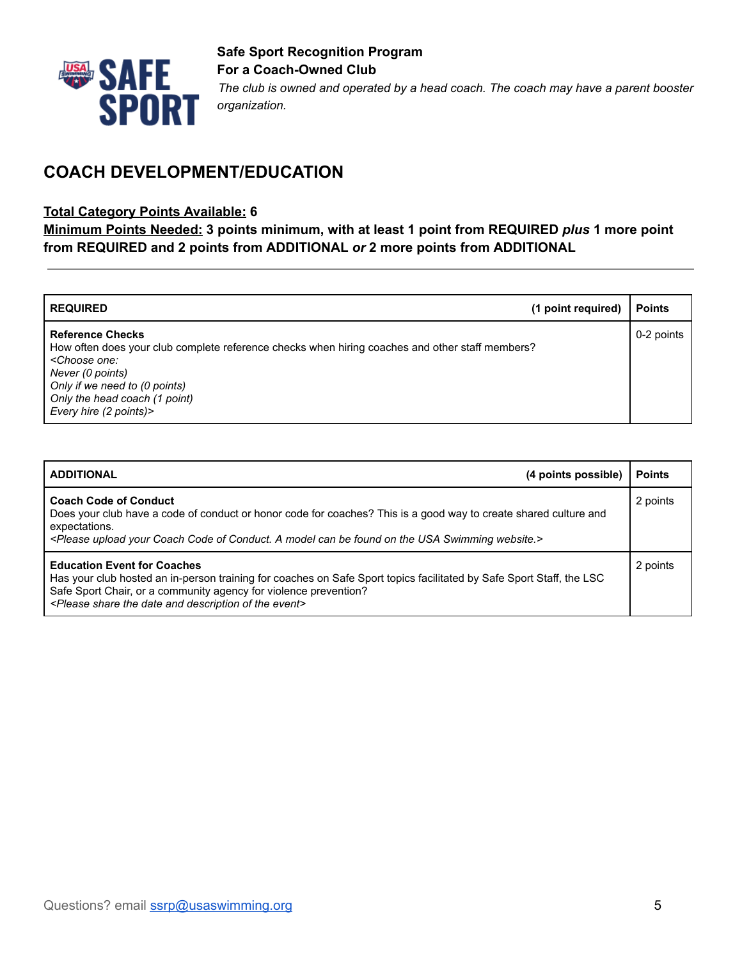

## **COACH DEVELOPMENT/EDUCATION**

#### **Total Category Points Available: 6**

**Minimum Points Needed: 3 points minimum, with at least 1 point from REQUIRED** *plus* **1 more point from REQUIRED and 2 points from ADDITIONAL** *or* **2 more points from ADDITIONAL**

| <b>REQUIRED</b>                                                                                                                                                                                                                                                              | (1 point required) | <b>Points</b> |
|------------------------------------------------------------------------------------------------------------------------------------------------------------------------------------------------------------------------------------------------------------------------------|--------------------|---------------|
| <b>Reference Checks</b><br>How often does your club complete reference checks when hiring coaches and other staff members?<br><choose one:<br="">Never (0 points)<br/>Only if we need to (0 points)<br/>Only the head coach (1 point)<br/>Every hire (2 points)&gt;</choose> |                    | 0-2 points    |

| (4 points possible)<br><b>ADDITIONAL</b>                                                                                                                                                                                                                                                                                    | <b>Points</b> |
|-----------------------------------------------------------------------------------------------------------------------------------------------------------------------------------------------------------------------------------------------------------------------------------------------------------------------------|---------------|
| <b>Coach Code of Conduct</b><br>Does your club have a code of conduct or honor code for coaches? This is a good way to create shared culture and<br>expectations.<br><please a="" be="" can="" coach="" code="" conduct.="" found="" model="" of="" on="" swimming="" the="" upload="" usa="" website.="" your=""></please> | 2 points      |
| <b>Education Event for Coaches</b><br>Has your club hosted an in-person training for coaches on Safe Sport topics facilitated by Safe Sport Staff, the LSC<br>Safe Sport Chair, or a community agency for violence prevention?<br><please and="" date="" description="" event="" of="" share="" the=""></please>            | 2 points      |